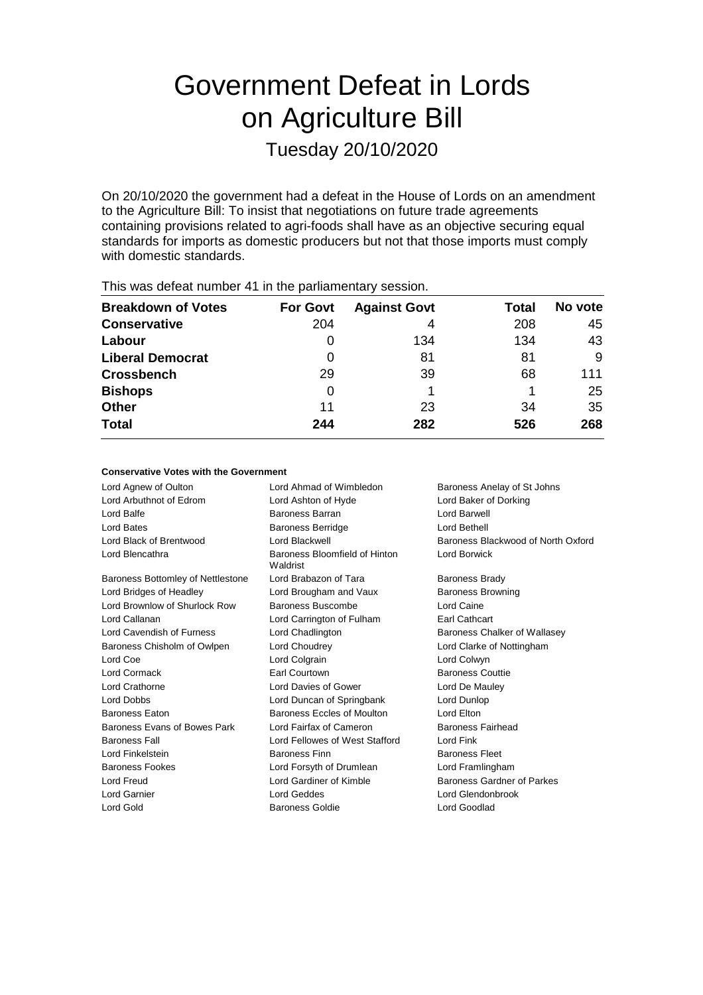# Government Defeat in Lords on Agriculture Bill

Tuesday 20/10/2020

On 20/10/2020 the government had a defeat in the House of Lords on an amendment to the Agriculture Bill: To insist that negotiations on future trade agreements containing provisions related to agri-foods shall have as an objective securing equal standards for imports as domestic producers but not that those imports must comply with domestic standards.

| THIS WAS ASTOCK HUTTING THE LITTLE PUTTRITION CHI II SOSSIGN. |                 |                     |       |         |  |  |
|---------------------------------------------------------------|-----------------|---------------------|-------|---------|--|--|
| <b>Breakdown of Votes</b>                                     | <b>For Govt</b> | <b>Against Govt</b> | Total | No vote |  |  |
| <b>Conservative</b>                                           | 204             |                     | 208   | 45      |  |  |
| Labour                                                        | O               | 134                 | 134   | 43      |  |  |
| <b>Liberal Democrat</b>                                       | O               | 81                  | 81    | 9       |  |  |
| <b>Crossbench</b>                                             | 29              | 39                  | 68    | 111     |  |  |
| <b>Bishops</b>                                                | 0               |                     |       | 25      |  |  |
| <b>Other</b>                                                  | 11              | 23                  | 34    | 35      |  |  |
| <b>Total</b>                                                  | 244             | 282                 | 526   | 268     |  |  |
|                                                               |                 |                     |       |         |  |  |

This was defeat number 41 in the parliamentary session.

#### **Conservative Votes with the Government**

Lord Arbuthnot of Edrom Lord Ashton of Hyde Lord Baker of Dorking Lord Balfe **Baroness Barran** Baroness Barran **Lord Barwell** Lord Bates Baroness Berridge Lord Bethell Lord Black of Brentwood Lord Blackwell Baroness Blackwood of North Oxford Lord Blencathra **Baroness** Bloomfield of Hinton Waldrist Baroness Bottomley of Nettlestone Lord Brabazon of Tara Baroness Brady Lord Bridges of Headley **Lord Brougham and Vaux** Baroness Browning Lord Brownlow of Shurlock Row Baroness Buscombe Lord Caine Lord Callanan Lord Carrington of Fulham Earl Cathcart Lord Cavendish of Furness Lord Chadlington Baroness Chalker of Wallasey Baroness Chisholm of Owlpen Lord Choudrey Chouse Lord Clarke of Nottingham Lord Coe Lord Colgrain Lord Colwyn Lord Cormack Earl Courtown Baroness Couttie Lord Crathorne Lord Davies of Gower Lord De Mauley Lord Dobbs Lord Duncan of Springbank Lord Dunlop Baroness Eaton **Baroness Eccles of Moulton** Lord Elton Baroness Evans of Bowes Park Lord Fairfax of Cameron Baroness Fairhead Baroness Fall Lord Fellowes of West Stafford Lord Fink Lord Finkelstein Baroness Finn Baroness Fleet Baroness Fookes Lord Forsyth of Drumlean Lord Framlingham Lord Freud Lord Gardiner of Kimble Baroness Gardner of Parkes Lord Garnier Lord Geddes Lord Glendonbrook Lord Gold Baroness Goldie Lord Goodlad

Lord Agnew of Oulton **Lord Ahmad of Wimbledon** Baroness Anelay of St Johns Lord Borwick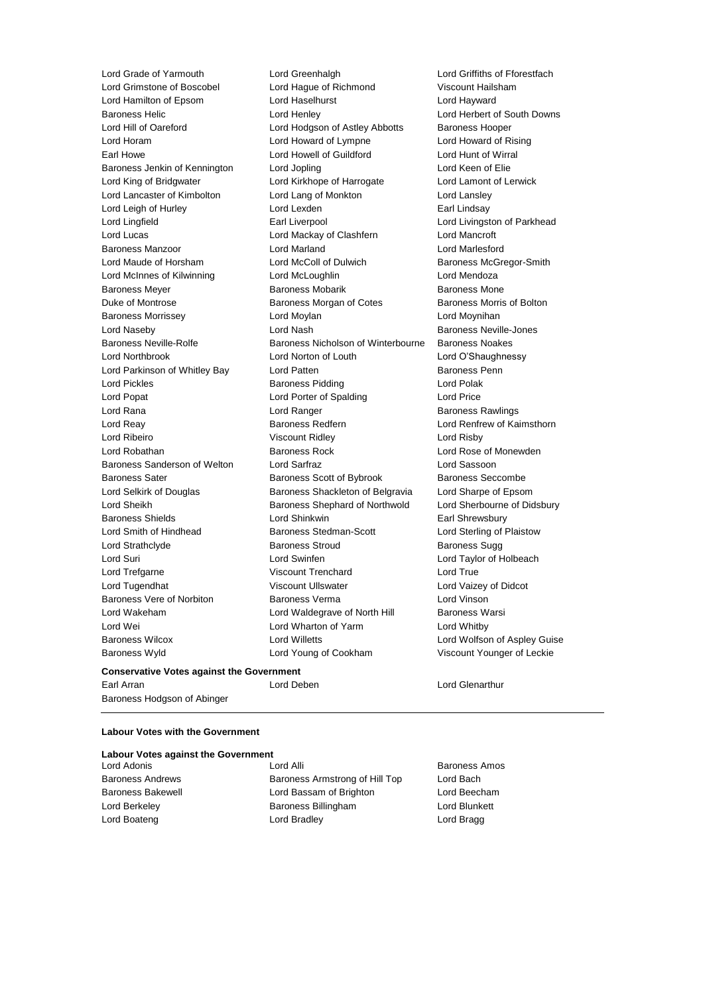Lord Grade of Yarmouth Lord Greenhalgh Lord Griffiths of Fforestfach Lord Grimstone of Boscobel Lord Hague of Richmond Viscount Hailsham Lord Hamilton of Epsom Lord Haselhurst Lord Hayward Baroness Helic Lord Henley Lord Herbert of South Downs Lord Hill of Oareford **Lord Hodgson of Astley Abbotts** Baroness Hooper Lord Horam Lord Howard of Lympne Lord Howard of Rising Earl Howe Lord Howell of Guildford Lord Hunt of Wirral Baroness Jenkin of Kennington Lord Jopling Lord Keen of Elie Lord King of Bridgwater Lord Kirkhope of Harrogate Lord Lamont of Lerwick Lord Lancaster of Kimbolton Lord Lang of Monkton Lord Lansley Lord Leigh of Hurley **Lord Lexden** Earl Lindsay Lord Lingfield **Earl Liverpool** Earl Liverpool **Lord Livingston of Parkhead** Lord Lucas Lord Mackay of Clashfern Lord Mancroft Baroness Manzoor Lord Marland Lord Marlesford Lord Maude of Horsham **Lord McColl of Dulwich Baroness McGregor-Smith** Lord McInnes of Kilwinning Lord McLoughlin Lord Mendoza Baroness Meyer **Baroness Mobarik** Baroness Mobarik Baroness Mone Duke of Montrose Baroness Morgan of Cotes Baroness Morris of Bolton Baroness Morrissey **Lord Moylan** Lord Moylan Lord Moynihan Lord Naseby **Lord Nash Baroness Neville-Jones** Baroness Neville-Rolfe **Baroness Nicholson of Winterbourne** Baroness Noakes Lord Northbrook Lord Norton of Louth Lord O'Shaughnessy Lord Parkinson of Whitley Bay **Lord Patten Communist Communist Parkinson Communist Penn** Lord Pickles **Baroness Pidding Lord Polak** Lord Polak Lord Popat Lord Porter of Spalding Lord Price Lord Rana **Lord Ranger Baroness Rawlings** Lord Ranger **Baroness Rawlings** Lord Reay Baroness Redfern Lord Renfrew of Kaimsthorn Lord Ribeiro Viscount Ridley Lord Risby Lord Robathan **Baroness Rock** Lord Rose of Monewden Baroness Sanderson of Welton Lord Sarfraz Lord Sassoon Baroness Sater **Baroness Scott of Bybrook** Baroness Seccombe Lord Selkirk of Douglas Baroness Shackleton of Belgravia Lord Sharpe of Epsom Lord Sheikh **Baroness Shephard of Northwold** Lord Sherbourne of Didsbury Baroness Shields **Lord Shinkwin** Earl Shrewsbury Lord Smith of Hindhead **Baroness Stedman-Scott** Lord Sterling of Plaistow Lord Strathclyde **Baroness Stroud** Baroness Sugg Lord Suri Lord Swinfen Lord Taylor of Holbeach Lord Trefgarne **Viscount Trenchard** Lord True Lord Tugendhat Viscount Ullswater Lord Vaizey of Didcot Baroness Vere of Norbiton Baroness Verma Lord Vinson Lord Wakeham **Lord Waldegrave of North Hill** Baroness Warsi Lord Wei Lord Wharton of Yarm Lord Whitby Baroness Wilcox Lord Willetts Lord Wolfson of Aspley Guise Baroness Wyld Lord Young of Cookham Viscount Younger of Leckie

### **Conservative Votes against the Government**

Earl Arran Lord Deben Lord Glenarthur Baroness Hodgson of Abinger

### **Labour Votes with the Government**

|  |  |  |  | <b>Labour Votes against the Government</b> |
|--|--|--|--|--------------------------------------------|
|--|--|--|--|--------------------------------------------|

Lord Adonis Lord Alli Baroness Amos Baroness Andrews Baroness Armstrong of Hill Top Lord Bach Baroness Bakewell Lord Bassam of Brighton Lord Beecham Lord Berkeley **Baroness Billingham** Lord Blunkett Lord Boateng **Lord Bradley Lord Bradley Lord Bragg**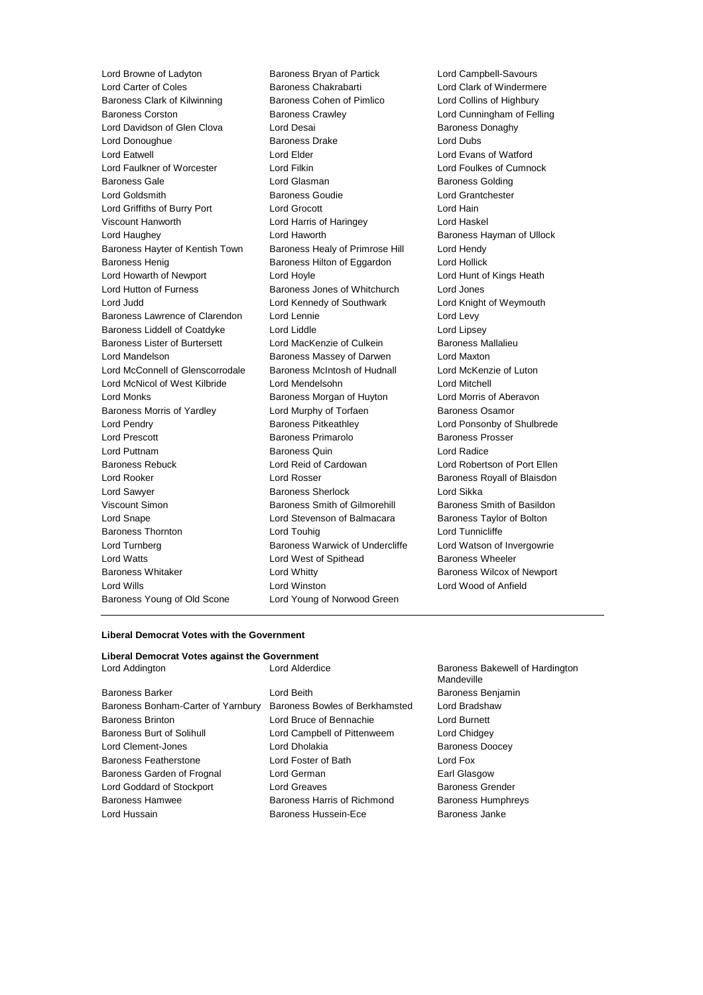Lord Browne of Ladyton Baroness Bryan of Partick Lord Campbell-Savours Lord Carter of Coles Baroness Chakrabarti Lord Clark of Windermere Baroness Clark of Kilwinning Baroness Cohen of Pimlico Lord Collins of Highbury Baroness Corston Baroness Crawley Lord Cunningham of Felling Lord Davidson of Glen Clova Lord Desai **Baroness Donaghy** Lord Donoughue **Baroness Drake** Lord Dubs Lord Eatwell Lord Elder Lord Evans of Watford Lord Faulkner of Worcester Lord Filkin Lord Foulkes of Cumnock Baroness Gale **Lord Glasman** Baroness Golding **Baroness** Golding Lord Goldsmith Baroness Goudie Lord Grantchester Lord Griffiths of Burry Port Lord Grocott Lord Hain Viscount Hanworth Lord Harris of Haringey Lord Haskel Lord Haughey Lord Haworth Baroness Hayman of Ullock Baroness Hayter of Kentish Town Baroness Healy of Primrose Hill Lord Hendy Baroness Henig **Baroness Hilton of Eggardon** Lord Hollick Lord Howarth of Newport Lord Hoyle Lord How Lord Hunt of Kings Heath Lord Hutton of Furness Baroness Jones of Whitchurch Lord Jones Lord Judd **Lord Kennedy of Southwark** Lord Knight of Weymouth Baroness Lawrence of Clarendon Lord Lennie **Lord Lewing Clarendon** Lord Levy Baroness Liddell of Coatdyke Lord Liddle Lord Lipsey Baroness Lister of Burtersett Lord MacKenzie of Culkein Baroness Mallalieu Lord Mandelson Baroness Massey of Darwen Lord Maxton Lord McConnell of Glenscorrodale Baroness McIntosh of Hudnall Lord McKenzie of Luton Lord McNicol of West Kilbride Lord Mendelsohn Lord Mitchell Lord Monks Baroness Morgan of Huyton Lord Morris of Aberavon Baroness Morris of Yardley Lord Murphy of Torfaen Baroness Osamor Lord Pendry Baroness Pitkeathley Lord Ponsonby of Shulbrede Lord Prescott Baroness Primarolo Baroness Prosser Lord Puttnam Baroness Quin Lord Radice Baroness Rebuck Lord Reid of Cardowan Lord Robertson of Port Ellen Lord Rooker Lord Rosser Baroness Royall of Blaisdon Lord Sawyer **Baroness Sherlock** Lord Sikka Viscount Simon **Baroness Smith of Gilmorehill** Baroness Smith of Basildon Lord Snape **Lord Stevenson of Balmacara** Baroness Taylor of Bolton Baroness Thornton **Lord Touhig** Lord Touhig Lord Tunnicliffe Lord Turnberg **Baroness Warwick of Undercliffe** Lord Watson of Invergowrie Lord Watts **Lord West of Spithead** Baroness Wheeler Baroness Whitaker **Lord Whitty Lord Whitty Baroness Wilcox of Newport** Lord Wills Lord Winston Lord Wood of Anfield Baroness Young of Old Scone Lord Young of Norwood Green

#### **Liberal Democrat Votes with the Government**

- **Liberal Democrat Votes against the Government** Lord Addington Lord Alderdice Baroness Bakewell of Hardington
- Baroness Barker Lord Beith Baroness Benjamin Baroness Bonham-Carter of Yarnbury Baroness Bowles of Berkhamsted Lord Bradshaw Baroness Brinton Lord Bruce of Bennachie Lord Burnett Baroness Burt of Solihull Lord Campbell of Pittenweem Lord Chidgey Lord Clement-Jones Lord Dholakia Baroness Doocey Baroness Featherstone Lord Foster of Bath Lord Fox Baroness Garden of Frognal Lord German **Earl Glasgow** Earl Glasgow Lord Goddard of Stockport Lord Greaves **Baroness Grender** Baroness Hamwee Baroness Harris of Richmond Baroness Humphreys Lord Hussain Baroness Hussein-Ece Baroness Janke
	-
- Mandeville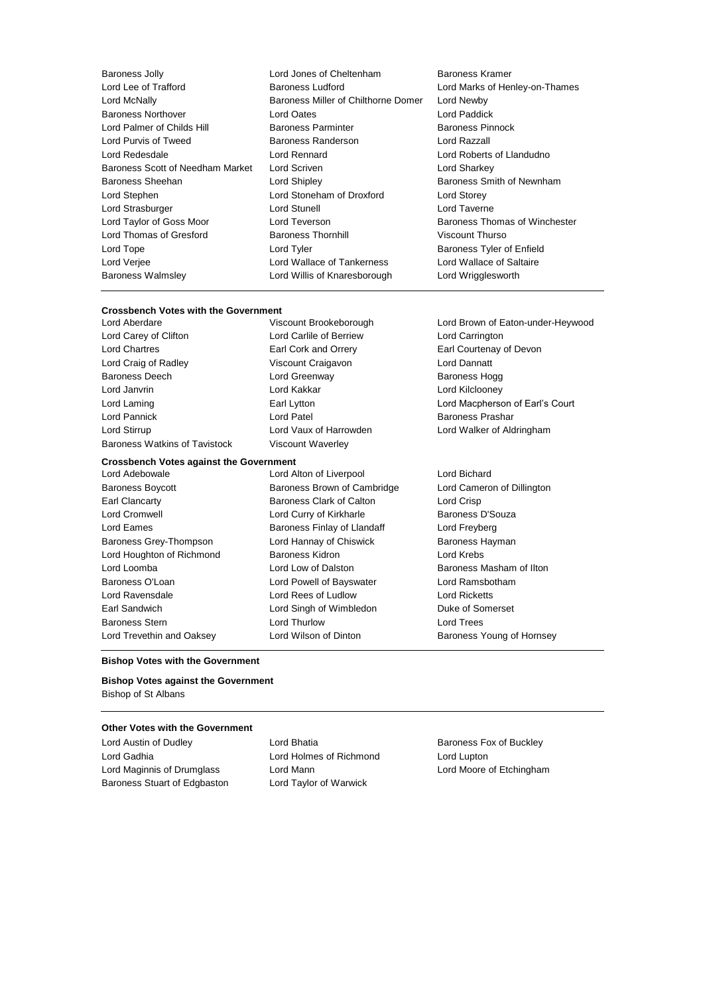Lord McNally Baroness Miller of Chilthorne Domer Lord Newby Baroness Northover Lord Oates Lord Paddick Lord Palmer of Childs Hill Baroness Parminter Baroness Parminter Baroness Pinnock Lord Purvis of Tweed Baroness Randerson Lord Razzall Lord Redesdale Lord Rennard Lord Roberts of Llandudno Baroness Scott of Needham Market Lord Scriven Lord Sharkey Baroness Sheehan **Lord Shipley Baroness Smith of Newnham** Lord Stephen Lord Stoneham of Droxford Lord Storey Lord Strasburger Lord Stunell Lord Taverne Lord Taylor of Goss Moor **Lord Teverson Baroness Thomas of Winchester** Lord Thomas of Gresford Baroness Thornhill Viscount Thurso Lord Tope **Lord Tyler Lord Tyler Baroness Tyler of Enfield** Lord Verjee Lord Wallace of Tankerness Lord Wallace of Saltaire Baroness Walmsley Lord Willis of Knaresborough Lord Wrigglesworth

Baroness Jolly **Communist Control Controls Controls Controls Controls Controls Controls Controls Controls Control**<br>Lord Lee of Trafford **Baroness Ludford** Lord Marks of Her

Lord Marks of Henley-on-Thames

### **Crossbench Votes with the Government**<br>Lord Aberdare **Constant Viscount Brookeborough**

Lord Carey of Clifton Lord Carlile of Berriew Lord Carrington Lord Chartres Earl Cork and Orrery Earl Courtenay of Devon Lord Craig of Radley Viscount Craigavon Lord Dannatt Baroness Deech **Lord Greenway Community** Baroness Hogg Baroness Hogg Lord Janvrin Lord Kakkar Lord Kilclooney Lord Pannick **Lord Patel** Lord Patel **Baroness Prashar** Lord Stirrup Lord Vaux of Harrowden Lord Walker of Aldringham Baroness Watkins of Tavistock Viscount Waverley

### **Crossbench Votes against the Government**

Baroness Boycott **Baroness Brown of Cambridge** Lord Cameron of Dillington Earl Clancarty Baroness Clark of Calton Lord Crisp Lord Cromwell **Lord Curry of Kirkharle** Baroness D'Souza Lord Eames **Baroness Finlay of Llandaff** Lord Freyberg Lord Freyberg Baroness Grey-Thompson Lord Hannay of Chiswick Baroness Hayman Lord Houghton of Richmond Baroness Kidron Lord Krebs Lord Loomba Lord Low of Dalston Baroness Masham of Ilton Baroness O'Loan Lord Powell of Bayswater Lord Ramsbotham Lord Ravensdale Lord Rees of Ludlow Lord Ricketts Earl Sandwich **Lord Singh of Wimbledon** Duke of Somerset Baroness Stern Lord Thurlow Lord Trees

Lord Alton of Liverpool Lord Bichard

Lord Brown of Eaton-under-Heywood Lord Laming Earl Lytton Lord Macpherson of Earl's Court

Lord Trevethin and Oaksey Lord Wilson of Dinton Baroness Young of Hornsey

#### **Bishop Votes with the Government**

### **Bishop Votes against the Government**

Bishop of St Albans

### **Other Votes with the Government**

Lord Austin of Dudley **Lord Bhatia Baroness Fox of Buckley Baroness Fox of Buckley** Lord Gadhia Lord Holmes of Richmond Lord Lupton Lord Maginnis of Drumglass Lord Mann Lord Moore of Etchingham Baroness Stuart of Edgbaston Lord Taylor of Warwick